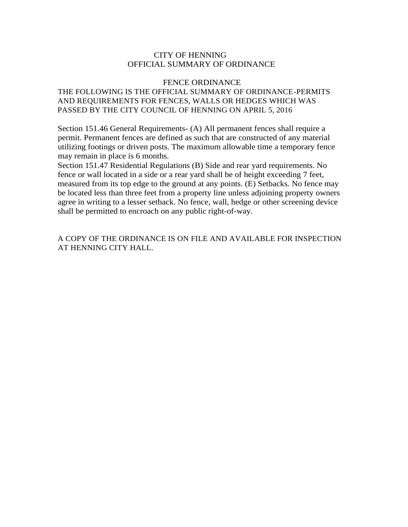# CITY OF HENNING OFFICIAL SUMMARY OF ORDINANCE

# FENCE ORDINANCE

# THE FOLLOWING IS THE OFFICIAL SUMMARY OF ORDINANCE-PERMITS AND REQUIREMENTS FOR FENCES, WALLS OR HEDGES WHICH WAS PASSED BY THE CITY COUNCIL OF HENNING ON APRIL 5, 2016

Section 151.46 General Requirements- (A) All permanent fences shall require a permit. Permanent fences are defined as such that are constructed of any material utilizing footings or driven posts. The maximum allowable time a temporary fence may remain in place is 6 months.

Section 151.47 Residential Regulations (B) Side and rear yard requirements. No fence or wall located in a side or a rear yard shall be of height exceeding 7 feet, measured from its top edge to the ground at any points. (E) Setbacks. No fence may be located less than three feet from a property line unless adjoining property owners agree in writing to a lesser setback. No fence, wall, hedge or other screening device shall be permitted to encroach on any public right-of-way.

A COPY OF THE ORDINANCE IS ON FILE AND AVAILABLE FOR INSPECTION AT HENNING CITY HALL.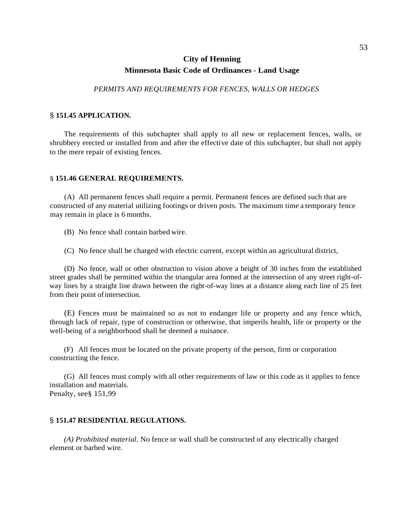# **City of Henning Minnesota Basic Code of Ordinances** - **Land Usage**

*PERMITS AND REQUIREMENTS FOR FENCES, WALLS OR HEDGES*

### § **151.45 APPLICATION.**

The requirements of this subchapter shall apply to all new or replacement fences, walls, or shrubbery erected or installed from and after the effective date of this subchapter, but shall not apply to the mere repair of existing fences.

### § **151.46 GENERAL REQUIREMENTS.**

(A) All permanent fences shall require a permit. Permanent fences are defined such that are constructed of any material utilizing footings or driven posts. The maximum time a temporary fence may remain in place is 6 months.

(B) No fence shall contain barbed wire.

(C) No fence shall be charged with electric current, except within an agricultural district,

(D) No fence, wall or other obstruction to vision above a height of 30 inches from the established street grades shall be permitted within the triangular area formed at the intersection of any street right-ofway lines by a straight line drawn between the right-of-way lines at a distance along each line of 25 feet from their point of intersection.

(E) Fences must be maintained so as not to endanger life or property and any fence which, through lack of repair, type of construction or otherwise, that imperils health, life or property or the well-being of a neighborhood shall be deemed a nuisance.

(F) All fences must be located on the private property of the person, firm or corporation constructing the fence.

(G) All fences must comply with all other requirements of law or this code as it applies to fence installation and materials. Penalty, see§ 151,99

#### § **151.47 RESIDENTIAL REGULATIONS.**

*(A) Prohibited material.* No fence or wall shall be constructed of any electrically charged element or barbed wire.